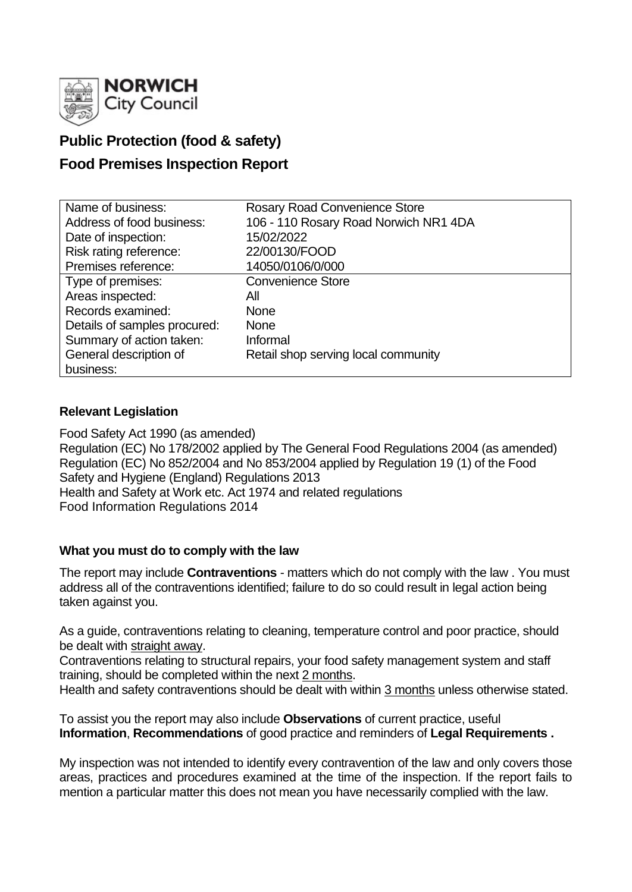

# **Public Protection (food & safety)**

# **Food Premises Inspection Report**

| Name of business:            | <b>Rosary Road Convenience Store</b>  |  |  |  |  |
|------------------------------|---------------------------------------|--|--|--|--|
| Address of food business:    | 106 - 110 Rosary Road Norwich NR1 4DA |  |  |  |  |
| Date of inspection:          | 15/02/2022                            |  |  |  |  |
| Risk rating reference:       | 22/00130/FOOD                         |  |  |  |  |
| Premises reference:          | 14050/0106/0/000                      |  |  |  |  |
| Type of premises:            | <b>Convenience Store</b>              |  |  |  |  |
| Areas inspected:             | All                                   |  |  |  |  |
| Records examined:            | <b>None</b>                           |  |  |  |  |
| Details of samples procured: | <b>None</b>                           |  |  |  |  |
| Summary of action taken:     | Informal                              |  |  |  |  |
| General description of       | Retail shop serving local community   |  |  |  |  |
| business:                    |                                       |  |  |  |  |

# **Relevant Legislation**

Food Safety Act 1990 (as amended) Regulation (EC) No 178/2002 applied by The General Food Regulations 2004 (as amended) Regulation (EC) No 852/2004 and No 853/2004 applied by Regulation 19 (1) of the Food Safety and Hygiene (England) Regulations 2013 Health and Safety at Work etc. Act 1974 and related regulations Food Information Regulations 2014

### **What you must do to comply with the law**

The report may include **Contraventions** - matters which do not comply with the law . You must address all of the contraventions identified; failure to do so could result in legal action being taken against you.

As a guide, contraventions relating to cleaning, temperature control and poor practice, should be dealt with straight away.

Contraventions relating to structural repairs, your food safety management system and staff training, should be completed within the next 2 months.

Health and safety contraventions should be dealt with within 3 months unless otherwise stated.

To assist you the report may also include **Observations** of current practice, useful **Information**, **Recommendations** of good practice and reminders of **Legal Requirements .**

My inspection was not intended to identify every contravention of the law and only covers those areas, practices and procedures examined at the time of the inspection. If the report fails to mention a particular matter this does not mean you have necessarily complied with the law.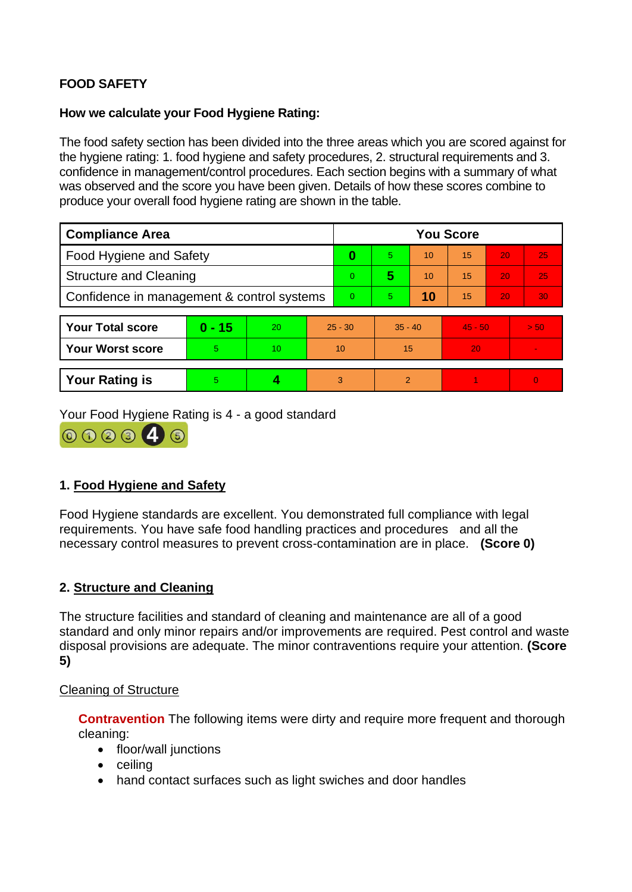# **FOOD SAFETY**

### **How we calculate your Food Hygiene Rating:**

The food safety section has been divided into the three areas which you are scored against for the hygiene rating: 1. food hygiene and safety procedures, 2. structural requirements and 3. confidence in management/control procedures. Each section begins with a summary of what was observed and the score you have been given. Details of how these scores combine to produce your overall food hygiene rating are shown in the table.

| <b>Compliance Area</b>                     |          |    |           | <b>You Score</b> |           |    |           |    |                 |
|--------------------------------------------|----------|----|-----------|------------------|-----------|----|-----------|----|-----------------|
| Food Hygiene and Safety                    |          |    |           | 0                | 5         | 10 | 15        | 20 | 25              |
| <b>Structure and Cleaning</b>              |          |    |           | $\overline{0}$   | 5         | 10 | 15        | 20 | 25 <sub>1</sub> |
| Confidence in management & control systems |          |    |           | $\overline{0}$   | 5.        | 10 | 15        | 20 | 30              |
|                                            |          |    |           |                  |           |    |           |    |                 |
| <b>Your Total score</b>                    | $0 - 15$ | 20 | $25 - 30$ |                  | $35 - 40$ |    | $45 - 50$ |    | > 50            |
| <b>Your Worst score</b>                    | 5        | 10 | 10        |                  | 15        |    | 20        |    |                 |
|                                            |          |    |           |                  |           |    |           |    |                 |
| <b>Your Rating is</b>                      | 5        | 4  |           | 3                | 2         |    |           |    | $\Omega$        |

Your Food Hygiene Rating is 4 - a good standard



# **1. Food Hygiene and Safety**

Food Hygiene standards are excellent. You demonstrated full compliance with legal requirements. You have safe food handling practices and procedures and all the necessary control measures to prevent cross-contamination are in place. **(Score 0)**

# **2. Structure and Cleaning**

The structure facilities and standard of cleaning and maintenance are all of a good standard and only minor repairs and/or improvements are required. Pest control and waste disposal provisions are adequate. The minor contraventions require your attention. **(Score 5)**

### Cleaning of Structure

**Contravention** The following items were dirty and require more frequent and thorough cleaning:

- floor/wall junctions
- ceiling
- hand contact surfaces such as light swiches and door handles